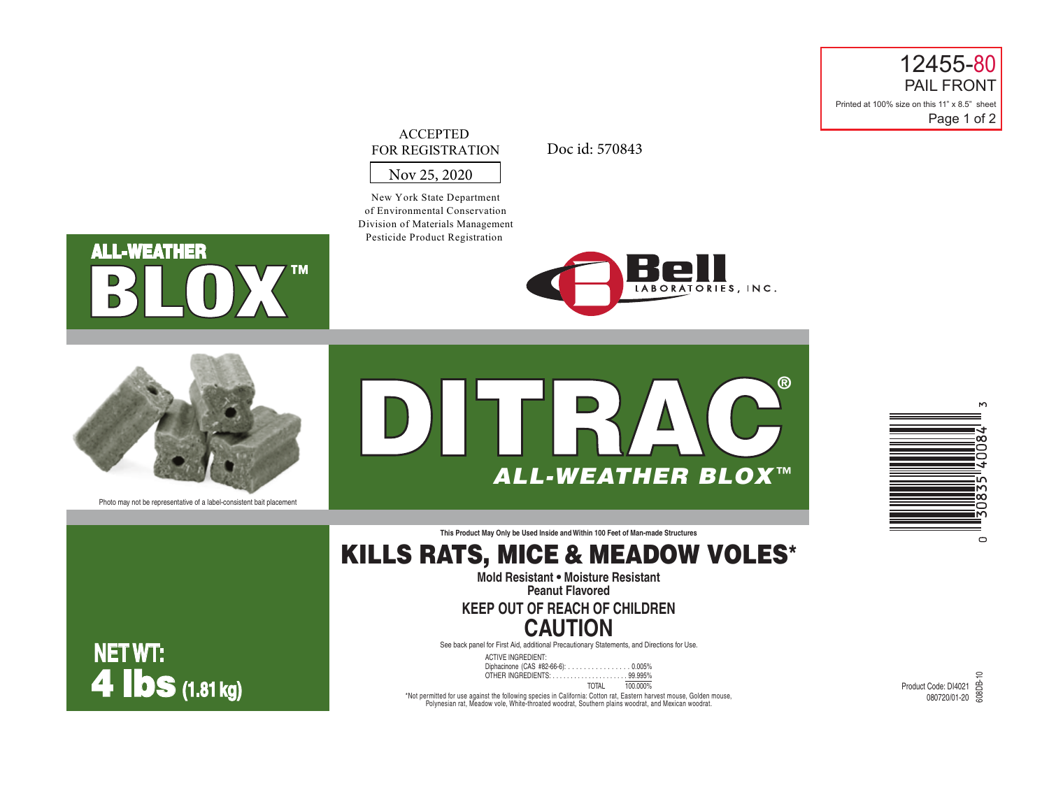12455-80 PAIL FRONT Printed at 100% size on this 11" x 8.5" sheet Page 1 of 2

### ACCEPTED FOR REGISTRATION

Doc id: 570843

### Nov 25, 2020

New York State Department of Environmental Conservation Division of Materials Management Pesticide Product Registration

# Rel LABORATORIES, INC.

**ALL-WEATHER ™**



Photo may not be representative of a label-consistent bait placement

DITRAC**®** *ALL-WEATHER BLOX* ™



**This Product May Only be Used Inside and Within 100 Feet of Man-made Structures**

# KILLS RATS, MICE & MEADOW VOLES\*

**Mold Resistant • Moisture Resistant Peanut Flavored**

# **KEEP OUT OF REACH OF CHILDREN CAUTION**

See back panel for First Aid, additional Precautionary Statements, and Directions for Use.

ACTIVE INGREDIENT: Diphacinone (CAS #82-66-6): . . . . . . . . . . . . . . . . 0.005% OTHER INGREDIENTS: . . . . . . . . . . . . . . . . . . . . . 99.995% TOTAL 100.000%

**NET WT:** 4 lbs **(1.81 kg)** Product Code: DI4021

\*Not permitted for use against the following species in California: Cotton rat, Eastern harvest mouse, Golden mouse,<br>Polynesian rat, Meadow vole, White-throated woodrat, Southern plains woodrat, and Mexican woodrat.

0<br>t Code: DI4021<br>080720/01-20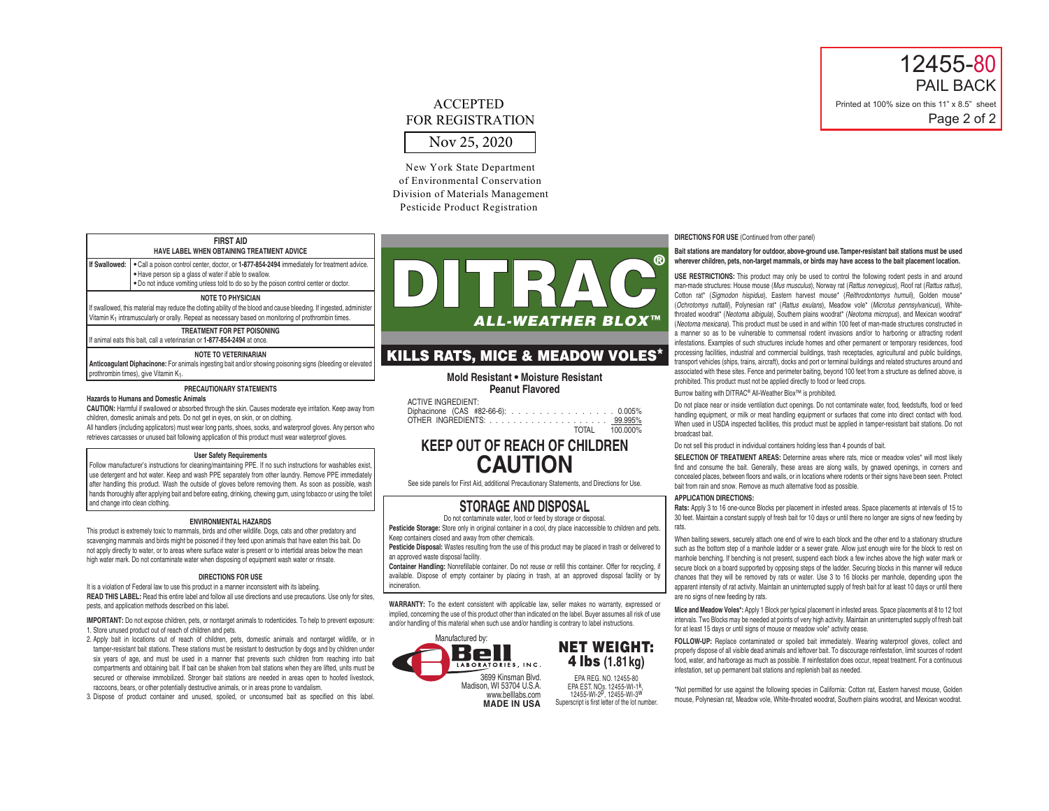# 12455-80 PAIL BACK Printed at 100% size on this 11" x 8.5" sheet Page 2 of 2

# Nov 25, 2020 **ACCEPTED** FOR REGISTRATION

New York State Department of Environmental Conservation Division of Materials Management Pesticide Product Registration

### **FIRST AID HAVE LABEL WHEN OBTAINING TREATMENT ADVICE**

**If Swallowed: •** Call a poison control center, doctor, or **1-877-854-2494** immediately for treatment advice. **•** Have person sip a glass of water if able to swallow.

**•** Do not induce vomiting unless told to do so by the poison control center or doctor.

### **NOTE TO PHYSICIAN**

If swallowed, this material may reduce the clotting ability of the blood and cause bleeding. If ingested, administer Vitamin K<sub>1</sub> intramuscularly or orally. Repeat as necessary based on monitoring of prothrombin times.

**TREATMENT FOR PET POISONING**

If animal eats this bait, call a veterinarian or **1-877-854-2494** at once.

### **NOTE TO VETERINARIAN**

**Anticoagulant Diphacinone:** For animals ingesting bait and/or showing poisoning signs (bleeding or elevated) prothrombin times), give Vitamin K1.

#### **PRECAUTIONARY STATEMENTS**

#### **Hazards to Humans and Domestic Animals**

**CAUTION:** Harmful if swallowed or absorbed through the skin. Causes moderate eye irritation. Keep away from children, domestic animals and pets. Do not get in eyes, on skin, or on clothing.

All handlers (including applicators) must wear long pants, shoes, socks, and waterproof gloves. Any person who retrieves carcasses or unused bait following application of this product must wear waterproof gloves.

### **User Safety Requirements**

Follow manufacturer's instructions for cleaning/maintaining PPE. If no such instructions for washables exist use detergent and hot water. Keep and wash PPE separately from other laundry. Remove PPE immediately after handling this product. Wash the outside of gloves before removing them. As soon as possible, wash hands thoroughly after applying bait and before eating, drinking, chewing gum, using tobacco or using the toilet and change into clean clothing.

### **ENVIRONMENTAL HAZARDS**

This product is extremely toxic to mammals, birds and other wildlife. Dogs, cats and other predatory and scavenging mammals and birds might be poisoned if they feed upon animals that have eaten this bait. Do not apply directly to water, or to areas where surface water is present or to intertidal areas below the mean high water mark. Do not contaminate water when disposing of equipment wash water or rinsate.

### **DIRECTIONS FOR USE**

It is a violation of Federal law to use this product in a manner inconsistent with its labeling. **READ THIS LABEL:** Read this entire label and follow all use directions and use precautions. Use only for sites, pests, and application methods described on this label.

**IMPORTANT:** Do not expose children, pets, or nontarget animals to rodenticides. To help to prevent exposure: 1. Store unused product out of reach of children and pets.

2. Apply bait in locations out of reach of children, pets, domestic animals and nontarget wildlife, or in tamper-resistant bait stations. These stations must be resistant to destruction by dogs and by children under six years of age, and must be used in a manner that prevents such children from reaching into bait compartments and obtaining bait. If bait can be shaken from bait stations when they are lifted, units must be secured or otherwise immobilized. Stronger bait stations are needed in areas open to hoofed livestock, raccoons, bears, or other potentially destructive animals, or in areas prone to vandalism.

3. Dispose of product container and unused, spoiled, or unconsumed bait as specified on this label.



## KILLS RATS, MICE & MEADOW VOLES\*

**Mold Resistant • Moisture Resistant Peanut Flavored**

| ACTIVE INGREDIENT:                 |                |
|------------------------------------|----------------|
| Diphacinone (CAS #82-66-6): 0.005% |                |
|                                    |                |
|                                    | TOTAL 100,000% |

# **KEEP OUT OF REACH OF CHILDREN CAUTION**

See side panels for First Aid, additional Precautionary Statements, and Directions for Use.

## **STORAGE AND DISPOSAL**

Do not contaminate water, food or feed by storage or disposal.

Pesticide Storage: Store only in original container in a cool, dry place inaccessible to children and pets. Keep containers closed and away from other chemicals.

**Pesticide Disposal:** Wastes resulting from the use of this product may be placed in trash or delivered to an approved waste disposal facility.

**Container Handling:** Nonrefillable container. Do not reuse or refill this container. Offer for recycling, if available. Dispose of empty container by placing in trash, at an approved disposal facility or by incineration.

**WARRANTY:** To the extent consistent with applicable law, seller makes no warranty, expressed or implied, concerning the use of this product other than indicated on the label. Buyer assumes all risk of use and/or handling of this material when such use and/or handling is contrary to label instructions.





EPA REG. NO. 12455-80 EPA EST. NOs. 12455-WI-1k, 12455-WI-2p, 12455-WI-3w Superscript is first letter of the lot number. **DIRECTIONS FOR USE** (Continued from other panel)

### **Bait stations are mandatory for outdoor, above-ground use. Tamper-resistant bait stations must be used wherever children, pets, non-target mammals, or birds may have access to the bait placement location.**

**USE RESTRICTIONS:** This product may only be used to control the following rodent pests in and around man-made structures: House mouse (*Mus musculus*), Norway rat (*Rattus norvegicus*), Roof rat (*Rattus rattus*), Cotton rat\* (*Sigmodon hispidus*), Eastern harvest mouse\* (*Reithrodontomys humuli*), Golden mouse\* (*Ochrotomys nuttalli*), Polynesian rat\* (*Rattus exulans*), Meadow vole\* (*Microtus pennsylvanicus*), Whitethroated woodrat\* (*Neotoma albigula*), Southern plains woodrat\* (*Neotoma micropus*), and Mexican woodrat\* (*Neotoma mexicana*). This product must be used in and within 100 feet of man-made structures constructed in a manner so as to be vulnerable to commensal rodent invasions and/or to harboring or attracting rodent infestations. Examples of such structures include homes and other permanent or temporary residences, food processing facilities, industrial and commercial buildings, trash receptacles, agricultural and public buildings, transport vehicles (ships, trains, aircraft), docks and port or terminal buildings and related structures around and associated with these sites. Fence and perimeter baiting, beyond 100 feet from a structure as defined above, is prohibited. This product must not be applied directly to food or feed crops.

Burrow baiting with DITRAC® All-Weather Blox™ is prohibited.

Do not place near or inside ventilation duct openings. Do not contaminate water, food, feedstuffs, food or feed handling equipment, or milk or meat handling equipment or surfaces that come into direct contact with food. When used in USDA inspected facilities, this product must be applied in tamper-resistant bait stations. Do not broadcast bait.

Do not sell this product in individual containers holding less than 4 pounds of bait.

**SELECTION OF TREATMENT AREAS:** Determine areas where rats, mice or meadow voles\* will most likely find and consume the bait. Generally, these areas are along walls, by gnawed openings, in corners and concealed places, between floors and walls, or in locations where rodents or their signs have been seen. Protect bait from rain and snow. Remove as much alternative food as possible.

### **APPLICATION DIRECTIONS:**

**Rats:** Apply 3 to 16 one-ounce Blocks per placement in infested areas. Space placements at intervals of 15 to 30 feet. Maintain a constant supply of fresh bait for 10 days or until there no longer are signs of new feeding by rats.

When baiting sewers, securely attach one end of wire to each block and the other end to a stationary structure such as the bottom step of a manhole ladder or a sewer grate. Allow just enough wire for the block to rest on manhole benching. If benching is not present, suspend each block a few inches above the high water mark or secure block on a board supported by opposing steps of the ladder. Securing blocks in this manner will reduce chances that they will be removed by rats or water. Use 3 to 16 blocks per manhole, depending upon the apparent intensity of rat activity. Maintain an uninterrupted supply of fresh bait for at least 10 days or until there are no signs of new feeding by rats.

**Mice and Meadow Voles\*:** Apply 1 Block per typical placement in infested areas. Space placements at 8 to 12 foot intervals. Two Blocks may be needed at points of very high activity. Maintain an uninterrupted supply of fresh bait for at least 15 days or until signs of mouse or meadow vole\* activity cease.

**FOLLOW-UP:** Replace contaminated or spoiled bait immediately. Wearing waterproof gloves, collect and properly dispose of all visible dead animals and leftover bait. To discourage reinfestation, limit sources of rodent food, water, and harborage as much as possible. If reinfestation does occur, repeat treatment. For a continuous infestation, set up permanent bait stations and replenish bait as needed.

\*Not permitted for use against the following species in California: Cotton rat, Eastern harvest mouse, Golden mouse, Polynesian rat, Meadow vole, White-throated woodrat, Southern plains woodrat, and Mexican woodrat.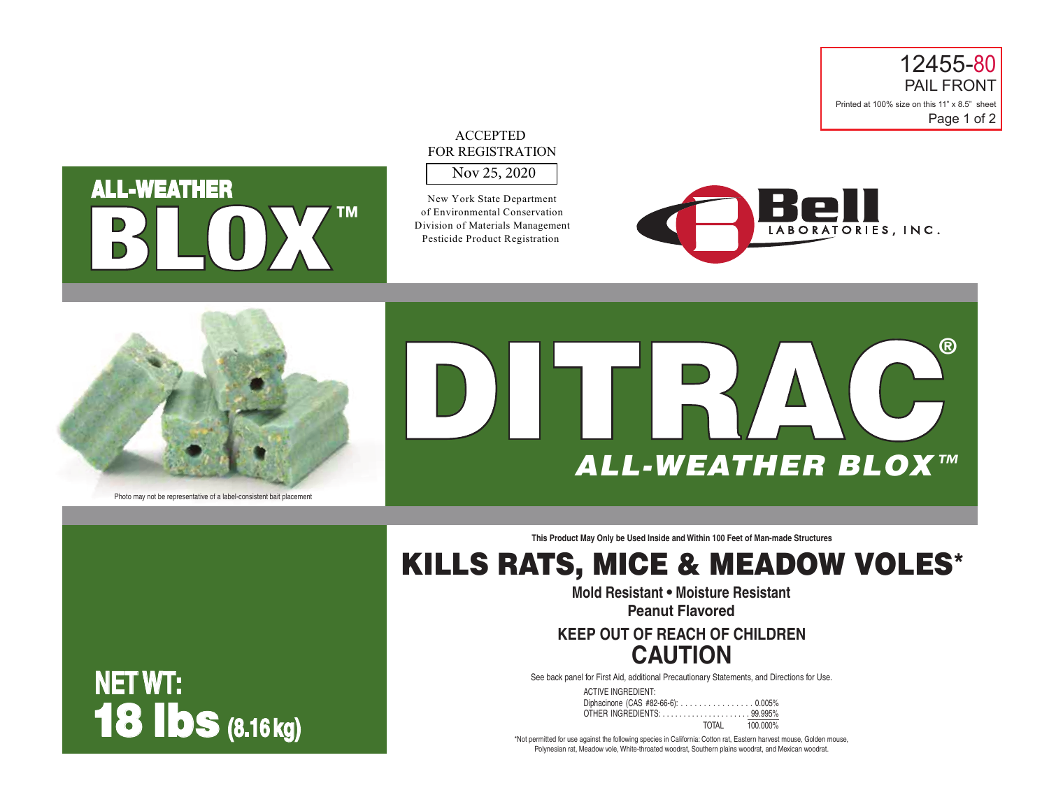



# Nov 25, 2020 ACCEPTED FOR REGISTRATION

New York State Department of Environmental Conservation Division of Materials Management Pesticide Product Registration





Photo may not be representative of a label-consistent bait placement

18 lbs **(8.16 kg)**

**NET WT:**



**This Product May Only be Used Inside and Within 100 Feet of Man-made Structures**

# KILLS RATS, MICE & MEADOW VOLES\*

**Mold Resistant • Moisture Resistant**

**Peanut Flavored**

# **KEEP OUT OF REACH OF CHILDREN CAUTION**

See back panel for First Aid, additional Precautionary Statements, and Directions for Use.

ACTIVE INGREDIENT: Diphacinone (CAS #82-66-6): . . . . . . . . . . . . . . . 0.005% OTHER INGREDIENTS: . . . . . . . . . . . . . . . . . . . . . 99.995%  $T<sub>100</sub>$  000%

\*Not permitted for use against the following species in California: Cotton rat, Eastern harvest mouse, Golden mouse, Polynesian rat, Meadow vole, White-throated woodrat, Southern plains woodrat, and Mexican woodrat.